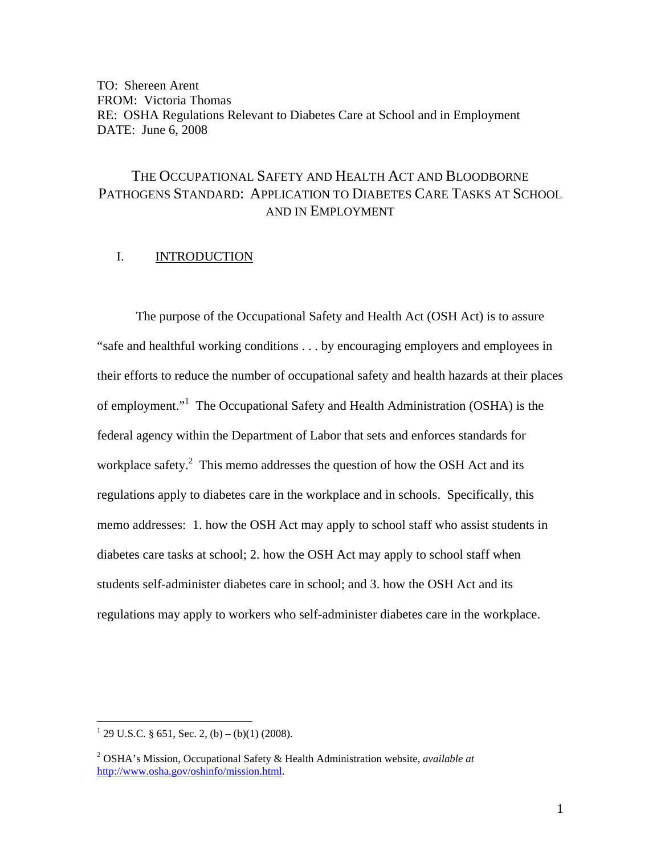TO: Shereen Arent FROM: Victoria Thomas RE: OSHA Regulations Relevant to Diabetes Care at School and in Employment DATE: June 6, 2008

# THE OCCUPATIONAL SAFETY AND HEALTH ACT AND BLOODBORNE PATHOGENS STANDARD: APPLICATION TO DIABETES CARE TASKS AT SCHOOL AND IN EMPLOYMENT

# I. INTRODUCTION

 The purpose of the Occupational Safety and Health Act (OSH Act) is to assure "safe and healthful working conditions . . . by encouraging employers and employees in their efforts to reduce the number of occupational safety and health hazards at their places of employment."<sup>1</sup> The Occupational Safety and Health Administration (OSHA) is the federal agency within the Department of Labor that sets and enforces standards for workplace safety. $\degree$  This memo addresses the question of how the OSH Act and its regulations apply to diabetes care in the workplace and in schools. Specifically, this memo addresses: 1. how the OSH Act may apply to school staff who assist students in diabetes care tasks at school; 2. how the OSH Act may apply to school staff when students self-administer diabetes care in school; and 3. how the OSH Act and its regulations may apply to workers who self-administer diabetes care in the workplace.

 $\frac{1}{29}$  U.S.C. § 651, Sec. 2, (b) – (b)(1) (2008).

<sup>2</sup> OSHA's Mission, Occupational Safety & Health Administration website, *available at* http://www.osha.gov/oshinfo/mission.html.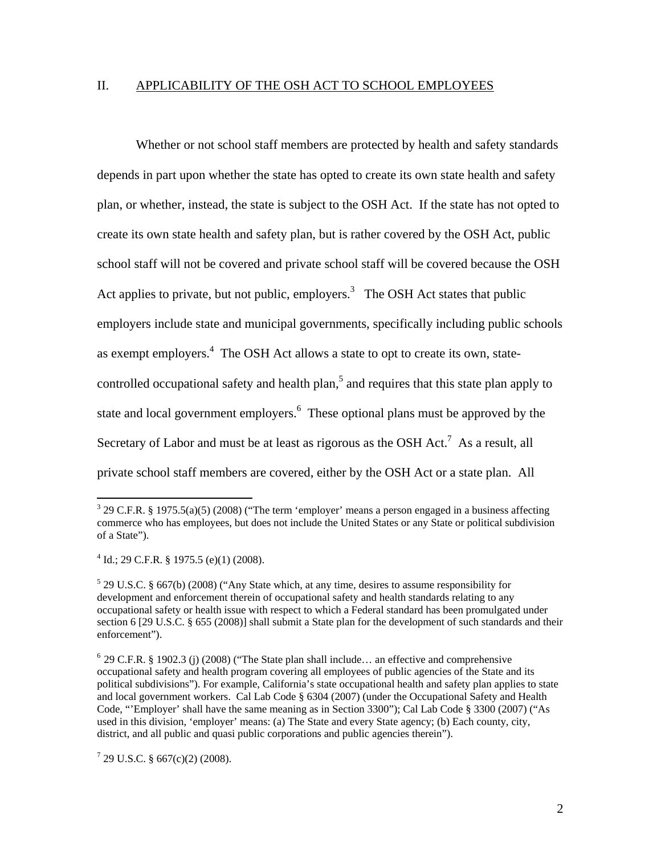#### II. APPLICABILITY OF THE OSH ACT TO SCHOOL EMPLOYEES

 Whether or not school staff members are protected by health and safety standards depends in part upon whether the state has opted to create its own state health and safety plan, or whether, instead, the state is subject to the OSH Act. If the state has not opted to create its own state health and safety plan, but is rather covered by the OSH Act, public school staff will not be covered and private school staff will be covered because the OSH Act applies to private, but not public, employers.<sup>3</sup> The OSH Act states that public employers include state and municipal governments, specifically including public schools as exempt employers.<sup>4</sup> The OSH Act allows a state to opt to create its own, statecontrolled occupational safety and health plan,<sup>5</sup> and requires that this state plan apply to state and local government employers.<sup>6</sup> These optional plans must be approved by the Secretary of Labor and must be at least as rigorous as the OSH Act.<sup>7</sup> As a result, all private school staff members are covered, either by the OSH Act or a state plan. All

 $3$  29 C.F.R. § 1975.5(a)(5) (2008) ("The term 'employer' means a person engaged in a business affecting commerce who has employees, but does not include the United States or any State or political subdivision of a State").

 $4$  Id.; 29 C.F.R. § 1975.5 (e)(1) (2008).

<sup>&</sup>lt;sup>5</sup> 29 U.S.C. § 667(b) (2008) ("Any State which, at any time, desires to assume responsibility for development and enforcement therein of occupational safety and health standards relating to any occupational safety or health issue with respect to which a Federal standard has been promulgated under section 6 [29 U.S.C. § 655 (2008)] shall submit a State plan for the development of such standards and their enforcement").

 $6$  29 C.F.R. § 1902.3 (j) (2008) ("The State plan shall include... an effective and comprehensive occupational safety and health program covering all employees of public agencies of the State and its political subdivisions"). For example, California's state occupational health and safety plan applies to state and local government workers. Cal Lab Code § 6304 (2007) (under the Occupational Safety and Health Code, "'Employer' shall have the same meaning as in Section 3300"); Cal Lab Code § 3300 (2007) ("As used in this division, 'employer' means: (a) The State and every State agency; (b) Each county, city, district, and all public and quasi public corporations and public agencies therein").

 $7$  29 U.S.C. § 667(c)(2) (2008).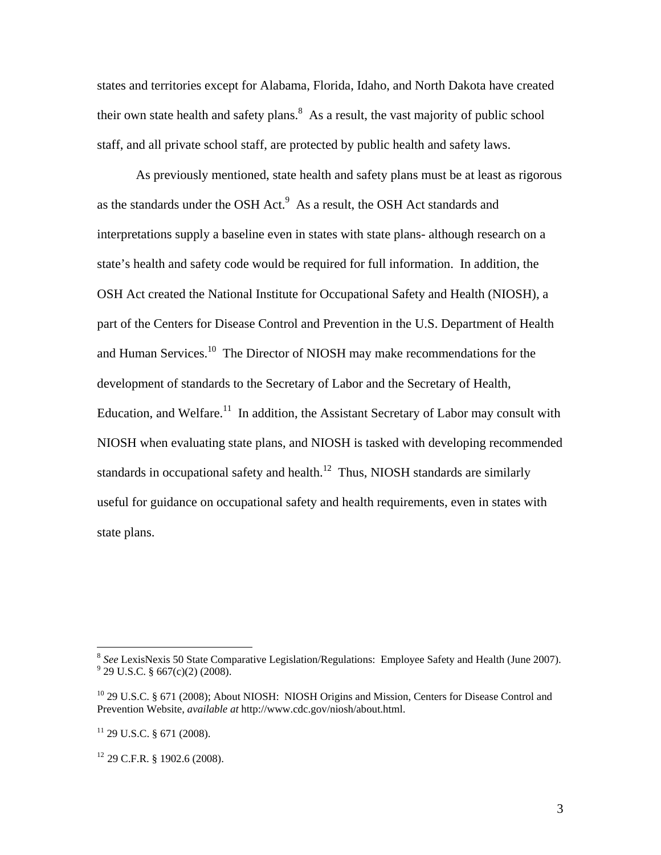states and territories except for Alabama, Florida, Idaho, and North Dakota have created their own state health and safety plans. $8$  As a result, the vast majority of public school staff, and all private school staff, are protected by public health and safety laws.

 As previously mentioned, state health and safety plans must be at least as rigorous as the standards under the OSH Act. $<sup>9</sup>$  As a result, the OSH Act standards and</sup> interpretations supply a baseline even in states with state plans- although research on a state's health and safety code would be required for full information. In addition, the OSH Act created the National Institute for Occupational Safety and Health (NIOSH), a part of the Centers for Disease Control and Prevention in the U.S. Department of Health and Human Services.<sup>10</sup> The Director of NIOSH may make recommendations for the development of standards to the Secretary of Labor and the Secretary of Health, Education, and Welfare.<sup>11</sup> In addition, the Assistant Secretary of Labor may consult with NIOSH when evaluating state plans, and NIOSH is tasked with developing recommended standards in occupational safety and health.<sup>12</sup> Thus, NIOSH standards are similarly useful for guidance on occupational safety and health requirements, even in states with state plans.

<sup>&</sup>lt;sup>8</sup> See LexisNexis 50 State Comparative Legislation/Regulations: Employee Safety and Health (June 2007).  $^{9}$  29 U.S.C. § 667(c)(2) (2008).

<sup>&</sup>lt;sup>10</sup> 29 U.S.C. § 671 (2008); About NIOSH: NIOSH Origins and Mission, Centers for Disease Control and Prevention Website, *available at* http://www.cdc.gov/niosh/about.html.

<sup>&</sup>lt;sup>11</sup> 29 U.S.C. § 671 (2008).

<sup>12</sup> 29 C.F.R. § 1902.6 (2008).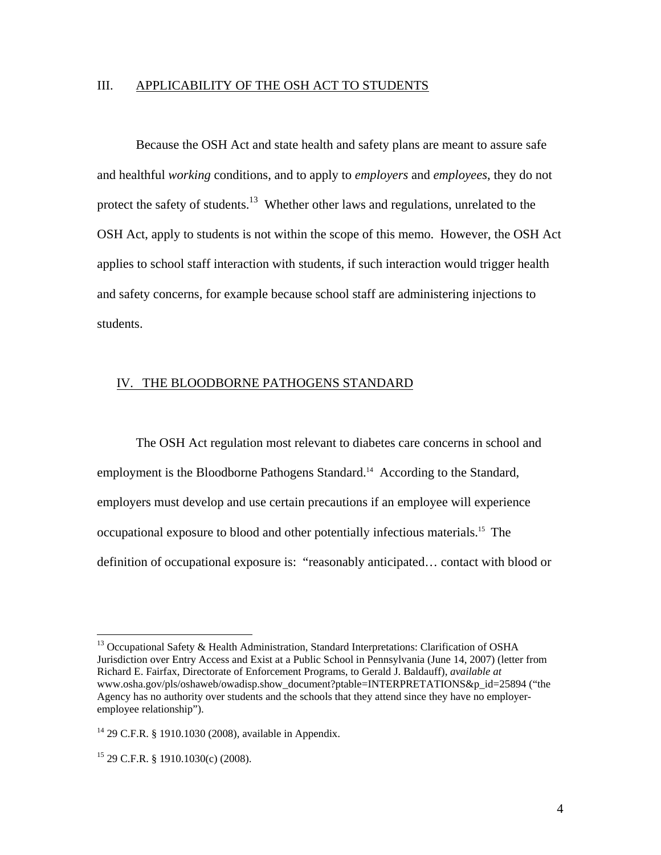### III. APPLICABILITY OF THE OSH ACT TO STUDENTS

 Because the OSH Act and state health and safety plans are meant to assure safe and healthful *working* conditions, and to apply to *employers* and *employees*, they do not protect the safety of students.<sup>13</sup> Whether other laws and regulations, unrelated to the OSH Act, apply to students is not within the scope of this memo. However, the OSH Act applies to school staff interaction with students, if such interaction would trigger health and safety concerns, for example because school staff are administering injections to students.

#### IV. THE BLOODBORNE PATHOGENS STANDARD

 The OSH Act regulation most relevant to diabetes care concerns in school and employment is the Bloodborne Pathogens Standard.<sup>14</sup> According to the Standard, employers must develop and use certain precautions if an employee will experience occupational exposure to blood and other potentially infectious materials.15 The definition of occupational exposure is: "reasonably anticipated… contact with blood or

<sup>&</sup>lt;sup>13</sup> Occupational Safety & Health Administration, Standard Interpretations: Clarification of OSHA Jurisdiction over Entry Access and Exist at a Public School in Pennsylvania (June 14, 2007) (letter from Richard E. Fairfax, Directorate of Enforcement Programs, to Gerald J. Baldauff), *available at*  www.osha.gov/pls/oshaweb/owadisp.show\_document?ptable=INTERPRETATIONS&p\_id=25894 ("the Agency has no authority over students and the schools that they attend since they have no employeremployee relationship").

<sup>14 29</sup> C.F.R. § 1910.1030 (2008), available in Appendix.

 $15$  29 C.F.R. § 1910.1030(c) (2008).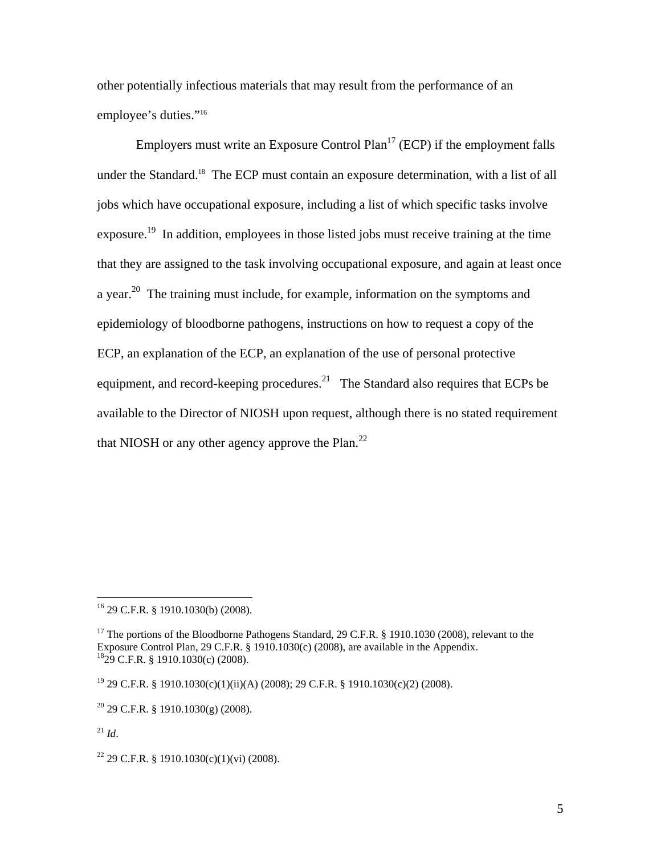other potentially infectious materials that may result from the performance of an employee's duties."<sup>16</sup>

Employers must write an Exposure Control Plan<sup>17</sup> (ECP) if the employment falls under the Standard.<sup>18</sup> The ECP must contain an exposure determination, with a list of all jobs which have occupational exposure, including a list of which specific tasks involve exposure.<sup>19</sup> In addition, employees in those listed jobs must receive training at the time that they are assigned to the task involving occupational exposure, and again at least once a year.<sup>20</sup> The training must include, for example, information on the symptoms and epidemiology of bloodborne pathogens, instructions on how to request a copy of the ECP, an explanation of the ECP, an explanation of the use of personal protective equipment, and record-keeping procedures.<sup>21</sup> The Standard also requires that ECPs be available to the Director of NIOSH upon request, although there is no stated requirement that NIOSH or any other agency approve the Plan. $^{22}$ 

 $^{21}$  *Id.* 

<sup>16 29</sup> C.F.R. § 1910.1030(b) (2008).

<sup>&</sup>lt;sup>17</sup> The portions of the Bloodborne Pathogens Standard, 29 C.F.R. § 1910.1030 (2008), relevant to the Exposure Control Plan, 29 C.F.R. § 1910.1030(c) (2008), are available in the Appendix. 1829 C.F.R. § 1910.1030(c) (2008).

<sup>19 29</sup> C.F.R. § 1910.1030(c)(1)(ii)(A) (2008); 29 C.F.R. § 1910.1030(c)(2) (2008).

 $20$  29 C.F.R. § 1910.1030(g) (2008).

<sup>&</sup>lt;sup>22</sup> 29 C.F.R. § 1910.1030(c)(1)(vi) (2008).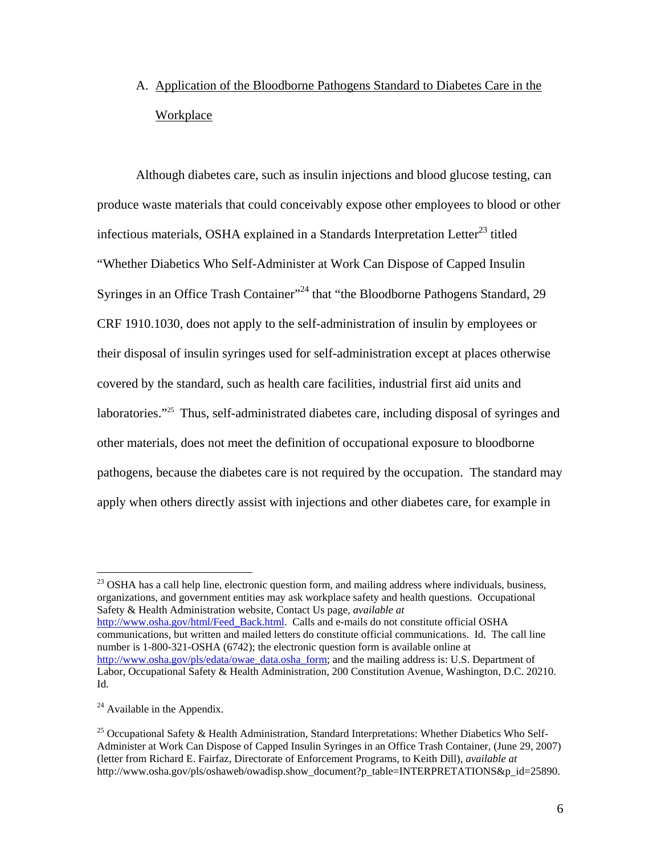# A. Application of the Bloodborne Pathogens Standard to Diabetes Care in the **Workplace**

 Although diabetes care, such as insulin injections and blood glucose testing, can produce waste materials that could conceivably expose other employees to blood or other infectious materials, OSHA explained in a Standards Interpretation Letter<sup>23</sup> titled "Whether Diabetics Who Self-Administer at Work Can Dispose of Capped Insulin Syringes in an Office Trash Container<sup>", 24</sup> that "the Bloodborne Pathogens Standard, 29 CRF 1910.1030, does not apply to the self-administration of insulin by employees or their disposal of insulin syringes used for self-administration except at places otherwise covered by the standard, such as health care facilities, industrial first aid units and laboratories."<sup>25</sup> Thus, self-administrated diabetes care, including disposal of syringes and other materials, does not meet the definition of occupational exposure to bloodborne pathogens, because the diabetes care is not required by the occupation. The standard may apply when others directly assist with injections and other diabetes care, for example in

 $^{23}$  OSHA has a call help line, electronic question form, and mailing address where individuals, business, organizations, and government entities may ask workplace safety and health questions. Occupational Safety & Health Administration website, Contact Us page, *available at* http://www.osha.gov/html/Feed\_Back.html. Calls and e-mails do not constitute official OSHA communications, but written and mailed letters do constitute official communications. Id. The call line number is 1-800-321-OSHA (6742); the electronic question form is available online at http://www.osha.gov/pls/edata/owae\_data.osha\_form; and the mailing address is: U.S. Department of Labor, Occupational Safety & Health Administration, 200 Constitution Avenue, Washington, D.C. 20210. Id.

 $24$  Available in the Appendix.

<sup>&</sup>lt;sup>25</sup> Occupational Safety & Health Administration, Standard Interpretations: Whether Diabetics Who Self-Administer at Work Can Dispose of Capped Insulin Syringes in an Office Trash Container, (June 29, 2007) (letter from Richard E. Fairfaz, Directorate of Enforcement Programs, to Keith Dill), *available at*  http://www.osha.gov/pls/oshaweb/owadisp.show\_document?p\_table=INTERPRETATIONS&p\_id=25890.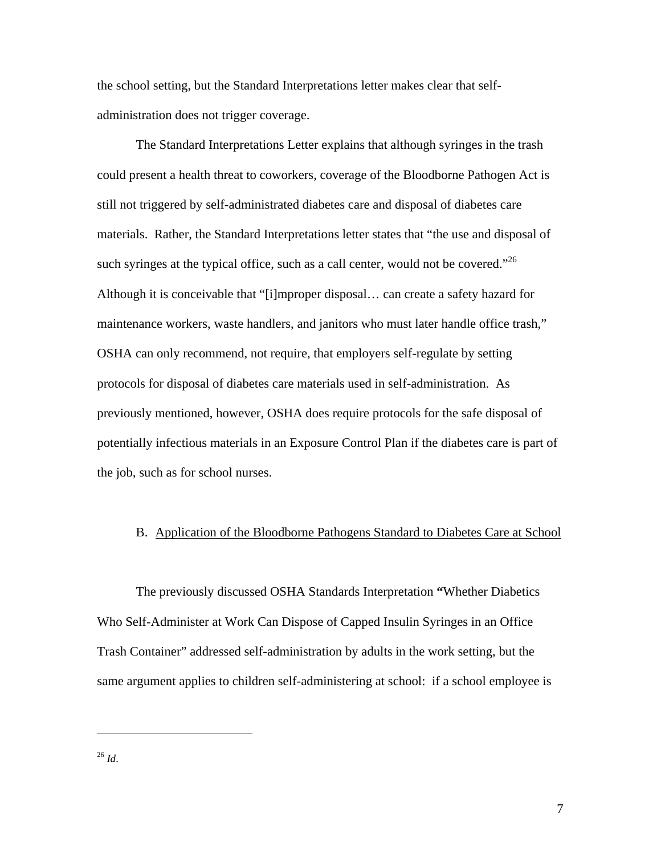the school setting, but the Standard Interpretations letter makes clear that selfadministration does not trigger coverage.

 The Standard Interpretations Letter explains that although syringes in the trash could present a health threat to coworkers, coverage of the Bloodborne Pathogen Act is still not triggered by self-administrated diabetes care and disposal of diabetes care materials. Rather, the Standard Interpretations letter states that "the use and disposal of such syringes at the typical office, such as a call center, would not be covered."<sup>26</sup> Although it is conceivable that "[i]mproper disposal… can create a safety hazard for maintenance workers, waste handlers, and janitors who must later handle office trash," OSHA can only recommend, not require, that employers self-regulate by setting protocols for disposal of diabetes care materials used in self-administration. As previously mentioned, however, OSHA does require protocols for the safe disposal of potentially infectious materials in an Exposure Control Plan if the diabetes care is part of the job, such as for school nurses.

# B. Application of the Bloodborne Pathogens Standard to Diabetes Care at School

 The previously discussed OSHA Standards Interpretation **"**Whether Diabetics Who Self-Administer at Work Can Dispose of Capped Insulin Syringes in an Office Trash Container" addressed self-administration by adults in the work setting, but the same argument applies to children self-administering at school: if a school employee is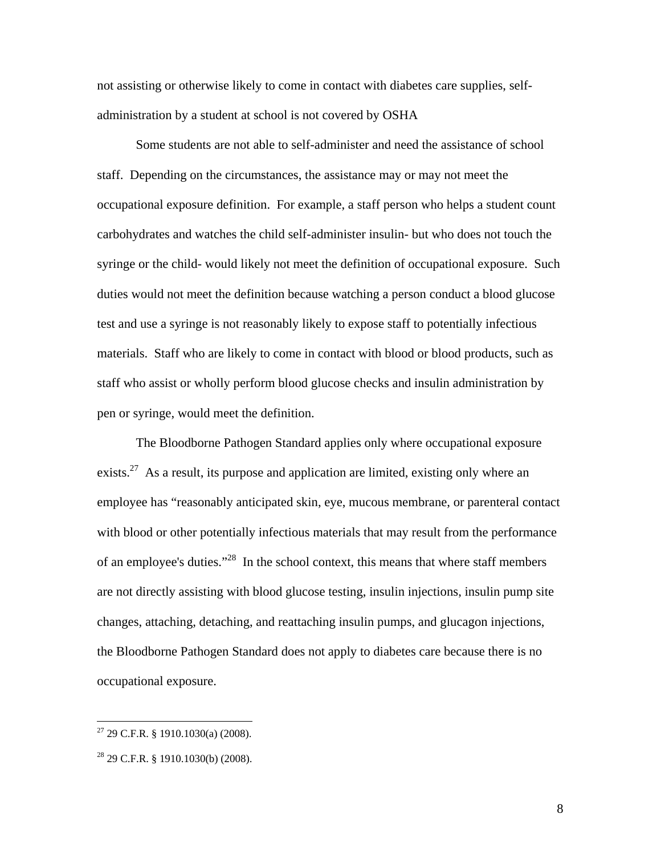not assisting or otherwise likely to come in contact with diabetes care supplies, selfadministration by a student at school is not covered by OSHA

 Some students are not able to self-administer and need the assistance of school staff. Depending on the circumstances, the assistance may or may not meet the occupational exposure definition. For example, a staff person who helps a student count carbohydrates and watches the child self-administer insulin- but who does not touch the syringe or the child- would likely not meet the definition of occupational exposure. Such duties would not meet the definition because watching a person conduct a blood glucose test and use a syringe is not reasonably likely to expose staff to potentially infectious materials. Staff who are likely to come in contact with blood or blood products, such as staff who assist or wholly perform blood glucose checks and insulin administration by pen or syringe, would meet the definition.

 The Bloodborne Pathogen Standard applies only where occupational exposure exists.<sup>27</sup> As a result, its purpose and application are limited, existing only where an employee has "reasonably anticipated skin, eye, mucous membrane, or parenteral contact with blood or other potentially infectious materials that may result from the performance of an employee's duties."28 In the school context, this means that where staff members are not directly assisting with blood glucose testing, insulin injections, insulin pump site changes, attaching, detaching, and reattaching insulin pumps, and glucagon injections, the Bloodborne Pathogen Standard does not apply to diabetes care because there is no occupational exposure.

 $27$  29 C.F.R. § 1910.1030(a) (2008).

 $28$  29 C.F.R. § 1910.1030(b) (2008).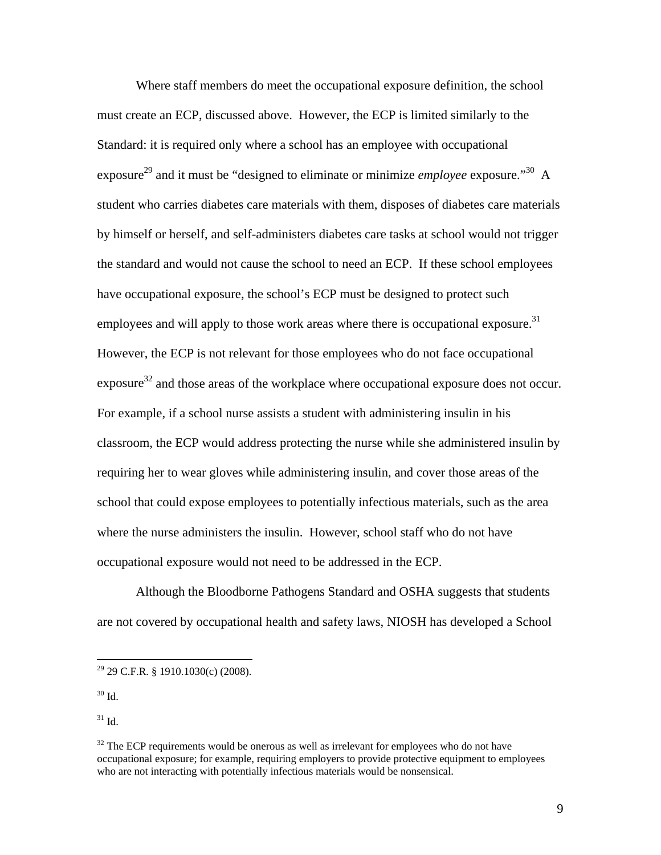Where staff members do meet the occupational exposure definition, the school must create an ECP, discussed above. However, the ECP is limited similarly to the Standard: it is required only where a school has an employee with occupational exposure<sup>29</sup> and it must be "designed to eliminate or minimize *employee* exposure."<sup>30</sup> A student who carries diabetes care materials with them, disposes of diabetes care materials by himself or herself, and self-administers diabetes care tasks at school would not trigger the standard and would not cause the school to need an ECP. If these school employees have occupational exposure, the school's ECP must be designed to protect such employees and will apply to those work areas where there is occupational exposure.<sup>31</sup> However, the ECP is not relevant for those employees who do not face occupational  $\alpha$  exposure<sup>32</sup> and those areas of the workplace where occupational exposure does not occur. For example, if a school nurse assists a student with administering insulin in his classroom, the ECP would address protecting the nurse while she administered insulin by requiring her to wear gloves while administering insulin, and cover those areas of the school that could expose employees to potentially infectious materials, such as the area where the nurse administers the insulin. However, school staff who do not have occupational exposure would not need to be addressed in the ECP.

 Although the Bloodborne Pathogens Standard and OSHA suggests that students are not covered by occupational health and safety laws, NIOSH has developed a School

 $30$  Id.

 $\overline{a}$ 

31 Id.

 $29$  29 C.F.R. § 1910.1030(c) (2008).

 $32$  The ECP requirements would be onerous as well as irrelevant for employees who do not have occupational exposure; for example, requiring employers to provide protective equipment to employees who are not interacting with potentially infectious materials would be nonsensical.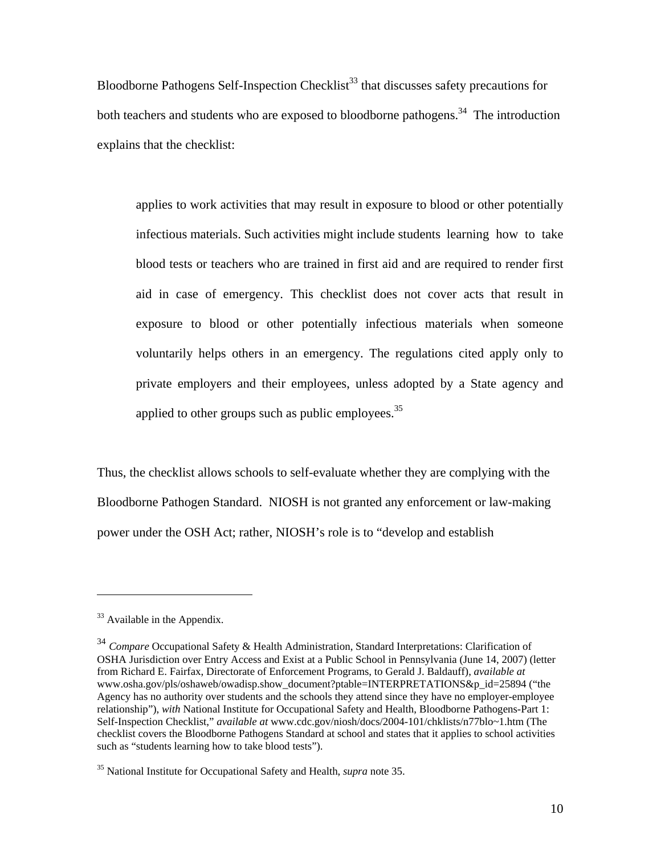Bloodborne Pathogens Self-Inspection Checklist<sup>33</sup> that discusses safety precautions for both teachers and students who are exposed to bloodborne pathogens.<sup>34</sup> The introduction explains that the checklist:

 applies to work activities that may result in exposure to blood or other potentially infectious materials. Such activities might include students learning how to take blood tests or teachers who are trained in first aid and are required to render first aid in case of emergency. This checklist does not cover acts that result in exposure to blood or other potentially infectious materials when someone voluntarily helps others in an emergency. The regulations cited apply only to private employers and their employees, unless adopted by a State agency and applied to other groups such as public employees. $35$ 

Thus, the checklist allows schools to self-evaluate whether they are complying with the Bloodborne Pathogen Standard. NIOSH is not granted any enforcement or law-making power under the OSH Act; rather, NIOSH's role is to "develop and establish

1

<sup>&</sup>lt;sup>33</sup> Available in the Appendix.

<sup>34</sup> *Compare* Occupational Safety & Health Administration, Standard Interpretations: Clarification of OSHA Jurisdiction over Entry Access and Exist at a Public School in Pennsylvania (June 14, 2007) (letter from Richard E. Fairfax, Directorate of Enforcement Programs, to Gerald J. Baldauff), *available at*  www.osha.gov/pls/oshaweb/owadisp.show\_document?ptable=INTERPRETATIONS&p\_id=25894 ("the Agency has no authority over students and the schools they attend since they have no employer-employee relationship"), *with* National Institute for Occupational Safety and Health, Bloodborne Pathogens-Part 1: Self-Inspection Checklist," *available at* www.cdc.gov/niosh/docs/2004-101/chklists/n77blo~1.htm (The checklist covers the Bloodborne Pathogens Standard at school and states that it applies to school activities such as "students learning how to take blood tests").

<sup>35</sup> National Institute for Occupational Safety and Health, *supra* note 35.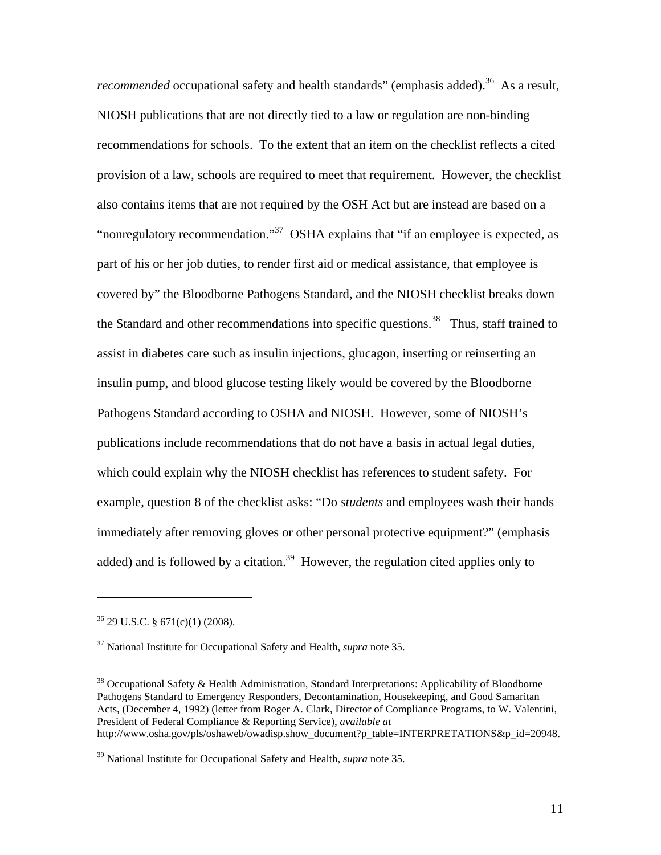*recommended* occupational safety and health standards" (emphasis added).<sup>36</sup> As a result, NIOSH publications that are not directly tied to a law or regulation are non-binding recommendations for schools. To the extent that an item on the checklist reflects a cited provision of a law, schools are required to meet that requirement. However, the checklist also contains items that are not required by the OSH Act but are instead are based on a "nonregulatory recommendation."37 OSHA explains that "if an employee is expected, as part of his or her job duties, to render first aid or medical assistance, that employee is covered by" the Bloodborne Pathogens Standard, and the NIOSH checklist breaks down the Standard and other recommendations into specific questions.<sup>38</sup> Thus, staff trained to assist in diabetes care such as insulin injections, glucagon, inserting or reinserting an insulin pump, and blood glucose testing likely would be covered by the Bloodborne Pathogens Standard according to OSHA and NIOSH. However, some of NIOSH's publications include recommendations that do not have a basis in actual legal duties, which could explain why the NIOSH checklist has references to student safety. For example, question 8 of the checklist asks: "Do *students* and employees wash their hands immediately after removing gloves or other personal protective equipment?" (emphasis added) and is followed by a citation.<sup>39</sup> However, the regulation cited applies only to

 $36$  29 U.S.C. § 671(c)(1) (2008).

 $\overline{a}$ 

<sup>38</sup> Occupational Safety & Health Administration, Standard Interpretations: Applicability of Bloodborne Pathogens Standard to Emergency Responders, Decontamination, Housekeeping, and Good Samaritan Acts, (December 4, 1992) (letter from Roger A. Clark, Director of Compliance Programs, to W. Valentini, President of Federal Compliance & Reporting Service), *available at*  http://www.osha.gov/pls/oshaweb/owadisp.show\_document?p\_table=INTERPRETATIONS&p\_id=20948.

<sup>37</sup> National Institute for Occupational Safety and Health, *supra* note 35.

<sup>39</sup> National Institute for Occupational Safety and Health, *supra* note 35.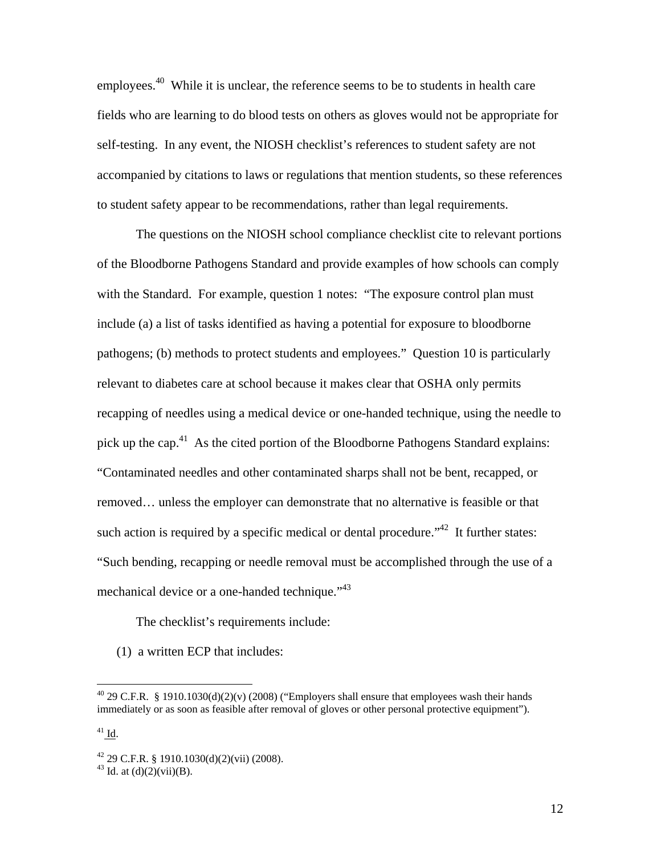employees.<sup>40</sup> While it is unclear, the reference seems to be to students in health care fields who are learning to do blood tests on others as gloves would not be appropriate for self-testing. In any event, the NIOSH checklist's references to student safety are not accompanied by citations to laws or regulations that mention students, so these references to student safety appear to be recommendations, rather than legal requirements.

 The questions on the NIOSH school compliance checklist cite to relevant portions of the Bloodborne Pathogens Standard and provide examples of how schools can comply with the Standard. For example, question 1 notes: "The exposure control plan must include (a) a list of tasks identified as having a potential for exposure to bloodborne pathogens; (b) methods to protect students and employees." Question 10 is particularly relevant to diabetes care at school because it makes clear that OSHA only permits recapping of needles using a medical device or one-handed technique, using the needle to pick up the cap.<sup>41</sup> As the cited portion of the Bloodborne Pathogens Standard explains: "Contaminated needles and other contaminated sharps shall not be bent, recapped, or removed… unless the employer can demonstrate that no alternative is feasible or that such action is required by a specific medical or dental procedure.<sup>"42</sup> It further states: "Such bending, recapping or needle removal must be accomplished through the use of a mechanical device or a one-handed technique."<sup>43</sup>

The checklist's requirements include:

(1) a written ECP that includes:

<sup>&</sup>lt;sup>40</sup> 29 C.F.R. § 1910.1030(d)(2)(v) (2008) ("Employers shall ensure that employees wash their hands immediately or as soon as feasible after removal of gloves or other personal protective equipment").

 $41$  Id.

 $42$  29 C.F.R. § 1910.1030(d)(2)(vii) (2008).

<sup>&</sup>lt;sup>43</sup> Id. at  $(d)(2)(vii)(B)$ .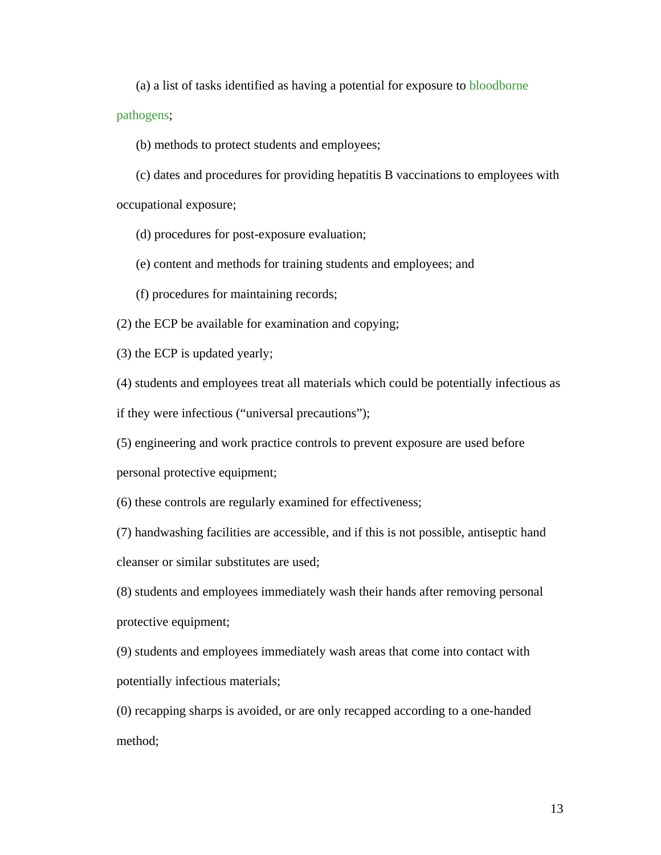(a) a list of tasks identified as having a potential for exposure to bloodborne

pathogens;

(b) methods to protect students and employees;

(c) dates and procedures for providing hepatitis B vaccinations to employees with occupational exposure;

(d) procedures for post-exposure evaluation;

(e) content and methods for training students and employees; and

(f) procedures for maintaining records;

(2) the ECP be available for examination and copying;

(3) the ECP is updated yearly;

(4) students and employees treat all materials which could be potentially infectious as if they were infectious ("universal precautions");

(5) engineering and work practice controls to prevent exposure are used before

personal protective equipment;

(6) these controls are regularly examined for effectiveness;

(7) handwashing facilities are accessible, and if this is not possible, antiseptic hand cleanser or similar substitutes are used;

(8) students and employees immediately wash their hands after removing personal protective equipment;

(9) students and employees immediately wash areas that come into contact with potentially infectious materials;

(0) recapping sharps is avoided, or are only recapped according to a one-handed method;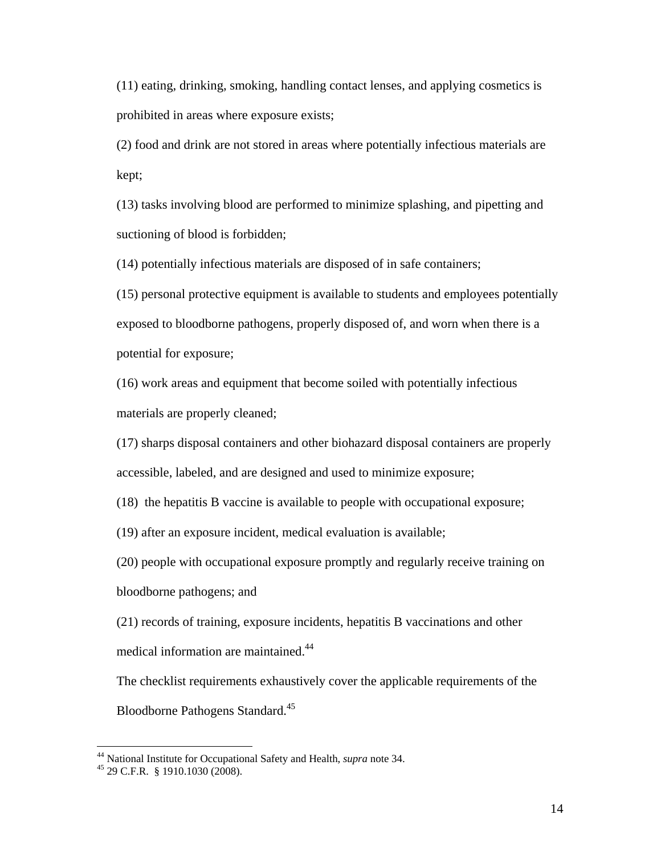(11) eating, drinking, smoking, handling contact lenses, and applying cosmetics is prohibited in areas where exposure exists;

(2) food and drink are not stored in areas where potentially infectious materials are kept;

(13) tasks involving blood are performed to minimize splashing, and pipetting and suctioning of blood is forbidden;

(14) potentially infectious materials are disposed of in safe containers;

(15) personal protective equipment is available to students and employees potentially exposed to bloodborne pathogens, properly disposed of, and worn when there is a potential for exposure;

(16) work areas and equipment that become soiled with potentially infectious materials are properly cleaned;

(17) sharps disposal containers and other biohazard disposal containers are properly accessible, labeled, and are designed and used to minimize exposure;

(18) the hepatitis B vaccine is available to people with occupational exposure;

(19) after an exposure incident, medical evaluation is available;

(20) people with occupational exposure promptly and regularly receive training on bloodborne pathogens; and

(21) records of training, exposure incidents, hepatitis B vaccinations and other medical information are maintained.<sup>44</sup>

The checklist requirements exhaustively cover the applicable requirements of the Bloodborne Pathogens Standard.45

<sup>&</sup>lt;sup>44</sup> National Institute for Occupational Safety and Health, *supra* note 34.<br><sup>45</sup> 29 C.F.R. § 1910.1030 (2008).